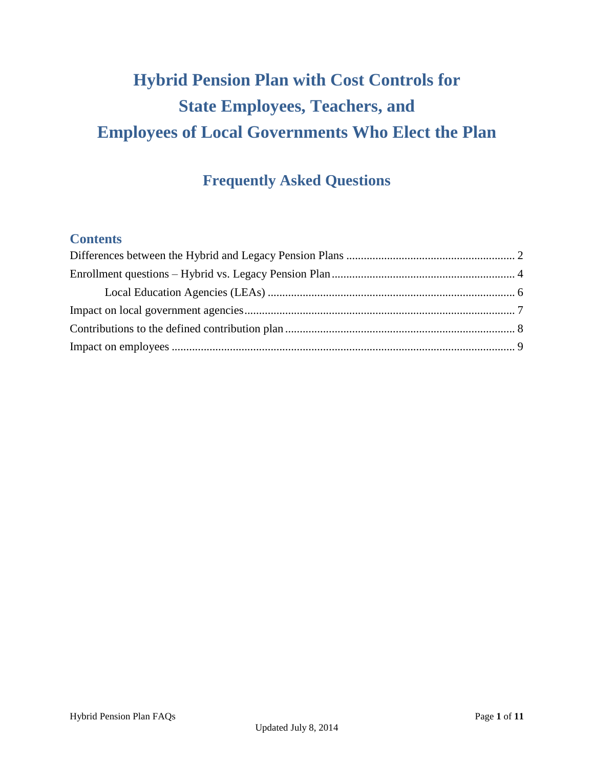# **Hybrid Pension Plan with Cost Controls for State Employees, Teachers, and Employees of Local Governments Who Elect the Plan**

## **Frequently Asked Questions**

### **Contents**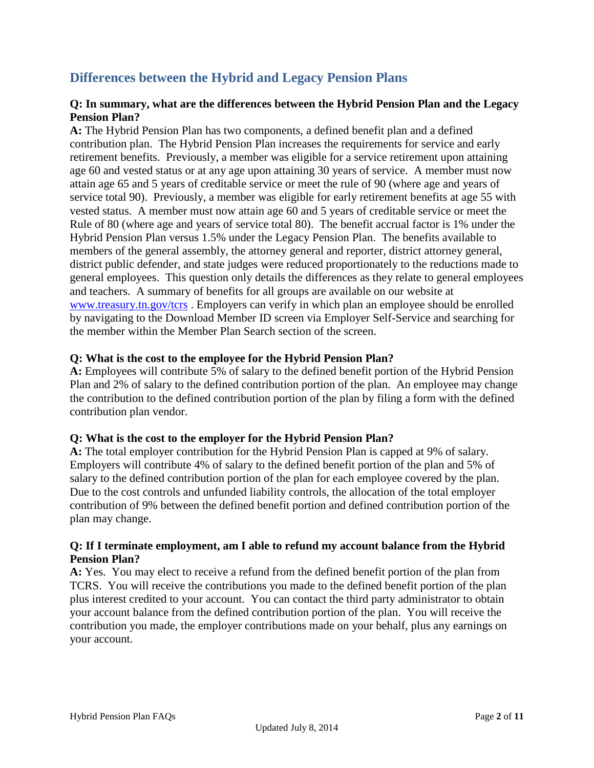### <span id="page-1-0"></span>**Differences between the Hybrid and Legacy Pension Plans**

### **Q: In summary, what are the differences between the Hybrid Pension Plan and the Legacy Pension Plan?**

**A:** The Hybrid Pension Plan has two components, a defined benefit plan and a defined contribution plan. The Hybrid Pension Plan increases the requirements for service and early retirement benefits. Previously, a member was eligible for a service retirement upon attaining age 60 and vested status or at any age upon attaining 30 years of service. A member must now attain age 65 and 5 years of creditable service or meet the rule of 90 (where age and years of service total 90). Previously, a member was eligible for early retirement benefits at age 55 with vested status. A member must now attain age 60 and 5 years of creditable service or meet the Rule of 80 (where age and years of service total 80). The benefit accrual factor is 1% under the Hybrid Pension Plan versus 1.5% under the Legacy Pension Plan. The benefits available to members of the general assembly, the attorney general and reporter, district attorney general, district public defender, and state judges were reduced proportionately to the reductions made to general employees. This question only details the differences as they relate to general employees and teachers. A summary of benefits for all groups are available on our website at [www.treasury.tn.gov/tcrs](http://www.treasury.tn.gov/tcrs) . Employers can verify in which plan an employee should be enrolled by navigating to the Download Member ID screen via Employer Self-Service and searching for the member within the Member Plan Search section of the screen.

#### **Q: What is the cost to the employee for the Hybrid Pension Plan?**

**A:** Employees will contribute 5% of salary to the defined benefit portion of the Hybrid Pension Plan and 2% of salary to the defined contribution portion of the plan. An employee may change the contribution to the defined contribution portion of the plan by filing a form with the defined contribution plan vendor.

#### **Q: What is the cost to the employer for the Hybrid Pension Plan?**

**A:** The total employer contribution for the Hybrid Pension Plan is capped at 9% of salary. Employers will contribute 4% of salary to the defined benefit portion of the plan and 5% of salary to the defined contribution portion of the plan for each employee covered by the plan. Due to the cost controls and unfunded liability controls, the allocation of the total employer contribution of 9% between the defined benefit portion and defined contribution portion of the plan may change.

### **Q: If I terminate employment, am I able to refund my account balance from the Hybrid Pension Plan?**

**A:** Yes. You may elect to receive a refund from the defined benefit portion of the plan from TCRS. You will receive the contributions you made to the defined benefit portion of the plan plus interest credited to your account. You can contact the third party administrator to obtain your account balance from the defined contribution portion of the plan. You will receive the contribution you made, the employer contributions made on your behalf, plus any earnings on your account.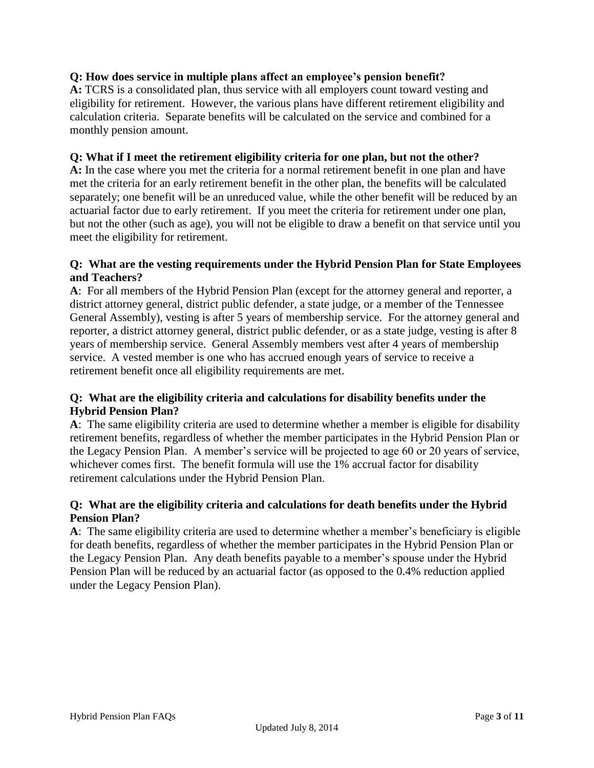### **Q: How does service in multiple plans affect an employee's pension benefit?**

**A:** TCRS is a consolidated plan, thus service with all employers count toward vesting and eligibility for retirement. However, the various plans have different retirement eligibility and calculation criteria. Separate benefits will be calculated on the service and combined for a monthly pension amount.

### **Q: What if I meet the retirement eligibility criteria for one plan, but not the other?**

**A:** In the case where you met the criteria for a normal retirement benefit in one plan and have met the criteria for an early retirement benefit in the other plan, the benefits will be calculated separately; one benefit will be an unreduced value, while the other benefit will be reduced by an actuarial factor due to early retirement. If you meet the criteria for retirement under one plan, but not the other (such as age), you will not be eligible to draw a benefit on that service until you meet the eligibility for retirement.

### **Q: What are the vesting requirements under the Hybrid Pension Plan for State Employees and Teachers?**

**A**: For all members of the Hybrid Pension Plan (except for the attorney general and reporter, a district attorney general, district public defender, a state judge, or a member of the Tennessee General Assembly), vesting is after 5 years of membership service. For the attorney general and reporter, a district attorney general, district public defender, or as a state judge, vesting is after 8 years of membership service. General Assembly members vest after 4 years of membership service. A vested member is one who has accrued enough years of service to receive a retirement benefit once all eligibility requirements are met.

### **Q: What are the eligibility criteria and calculations for disability benefits under the Hybrid Pension Plan?**

**A**: The same eligibility criteria are used to determine whether a member is eligible for disability retirement benefits, regardless of whether the member participates in the Hybrid Pension Plan or the Legacy Pension Plan. A member's service will be projected to age 60 or 20 years of service, whichever comes first. The benefit formula will use the 1% accrual factor for disability retirement calculations under the Hybrid Pension Plan.

### **Q: What are the eligibility criteria and calculations for death benefits under the Hybrid Pension Plan?**

<span id="page-2-0"></span>**A**: The same eligibility criteria are used to determine whether a member's beneficiary is eligible for death benefits, regardless of whether the member participates in the Hybrid Pension Plan or the Legacy Pension Plan. Any death benefits payable to a member's spouse under the Hybrid Pension Plan will be reduced by an actuarial factor (as opposed to the 0.4% reduction applied under the Legacy Pension Plan).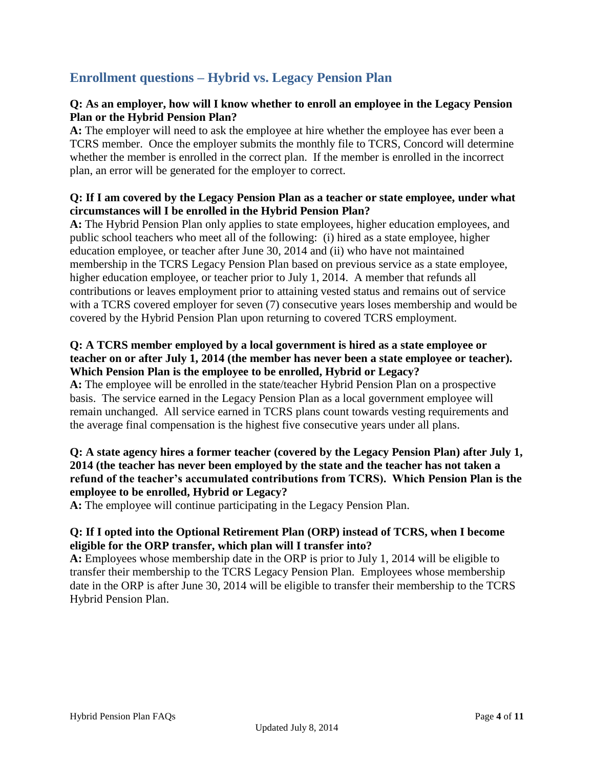### **Enrollment questions – Hybrid vs. Legacy Pension Plan**

### **Q: As an employer, how will I know whether to enroll an employee in the Legacy Pension Plan or the Hybrid Pension Plan?**

**A:** The employer will need to ask the employee at hire whether the employee has ever been a TCRS member. Once the employer submits the monthly file to TCRS, Concord will determine whether the member is enrolled in the correct plan. If the member is enrolled in the incorrect plan, an error will be generated for the employer to correct.

### **Q: If I am covered by the Legacy Pension Plan as a teacher or state employee, under what circumstances will I be enrolled in the Hybrid Pension Plan?**

**A:** The Hybrid Pension Plan only applies to state employees, higher education employees, and public school teachers who meet all of the following: (i) hired as a state employee, higher education employee, or teacher after June 30, 2014 and (ii) who have not maintained membership in the TCRS Legacy Pension Plan based on previous service as a state employee, higher education employee, or teacher prior to July 1, 2014. A member that refunds all contributions or leaves employment prior to attaining vested status and remains out of service with a TCRS covered employer for seven (7) consecutive years loses membership and would be covered by the Hybrid Pension Plan upon returning to covered TCRS employment.

### **Q: A TCRS member employed by a local government is hired as a state employee or teacher on or after July 1, 2014 (the member has never been a state employee or teacher). Which Pension Plan is the employee to be enrolled, Hybrid or Legacy?**

**A:** The employee will be enrolled in the state/teacher Hybrid Pension Plan on a prospective basis. The service earned in the Legacy Pension Plan as a local government employee will remain unchanged.All service earned in TCRS plans count towards vesting requirements and the average final compensation is the highest five consecutive years under all plans.

### **Q: A state agency hires a former teacher (covered by the Legacy Pension Plan) after July 1, 2014 (the teacher has never been employed by the state and the teacher has not taken a refund of the teacher's accumulated contributions from TCRS). Which Pension Plan is the employee to be enrolled, Hybrid or Legacy?**

**A:** The employee will continue participating in the Legacy Pension Plan.

### **Q: If I opted into the Optional Retirement Plan (ORP) instead of TCRS, when I become eligible for the ORP transfer, which plan will I transfer into?**

**A:** Employees whose membership date in the ORP is prior to July 1, 2014 will be eligible to transfer their membership to the TCRS Legacy Pension Plan. Employees whose membership date in the ORP is after June 30, 2014 will be eligible to transfer their membership to the TCRS Hybrid Pension Plan.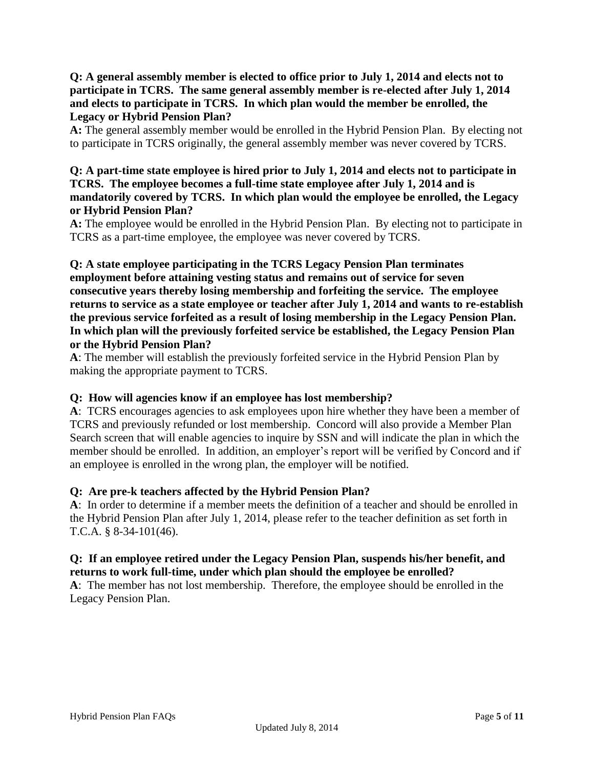### **Q: A general assembly member is elected to office prior to July 1, 2014 and elects not to participate in TCRS. The same general assembly member is re-elected after July 1, 2014 and elects to participate in TCRS. In which plan would the member be enrolled, the Legacy or Hybrid Pension Plan?**

**A:** The general assembly member would be enrolled in the Hybrid Pension Plan. By electing not to participate in TCRS originally, the general assembly member was never covered by TCRS.

### **Q: A part-time state employee is hired prior to July 1, 2014 and elects not to participate in TCRS. The employee becomes a full-time state employee after July 1, 2014 and is mandatorily covered by TCRS. In which plan would the employee be enrolled, the Legacy or Hybrid Pension Plan?**

**A:** The employee would be enrolled in the Hybrid Pension Plan. By electing not to participate in TCRS as a part-time employee, the employee was never covered by TCRS.

**Q: A state employee participating in the TCRS Legacy Pension Plan terminates employment before attaining vesting status and remains out of service for seven consecutive years thereby losing membership and forfeiting the service. The employee returns to service as a state employee or teacher after July 1, 2014 and wants to re-establish the previous service forfeited as a result of losing membership in the Legacy Pension Plan. In which plan will the previously forfeited service be established, the Legacy Pension Plan or the Hybrid Pension Plan?**

**A**: The member will establish the previously forfeited service in the Hybrid Pension Plan by making the appropriate payment to TCRS.

### **Q: How will agencies know if an employee has lost membership?**

**A**: TCRS encourages agencies to ask employees upon hire whether they have been a member of TCRS and previously refunded or lost membership. Concord will also provide a Member Plan Search screen that will enable agencies to inquire by SSN and will indicate the plan in which the member should be enrolled. In addition, an employer's report will be verified by Concord and if an employee is enrolled in the wrong plan, the employer will be notified.

### **Q: Are pre-k teachers affected by the Hybrid Pension Plan?**

**A**: In order to determine if a member meets the definition of a teacher and should be enrolled in the Hybrid Pension Plan after July 1, 2014, please refer to the teacher definition as set forth in T.C.A. § 8-34-101(46).

### **Q: If an employee retired under the Legacy Pension Plan, suspends his/her benefit, and returns to work full-time, under which plan should the employee be enrolled?**

<span id="page-4-0"></span>**A**: The member has not lost membership. Therefore, the employee should be enrolled in the Legacy Pension Plan.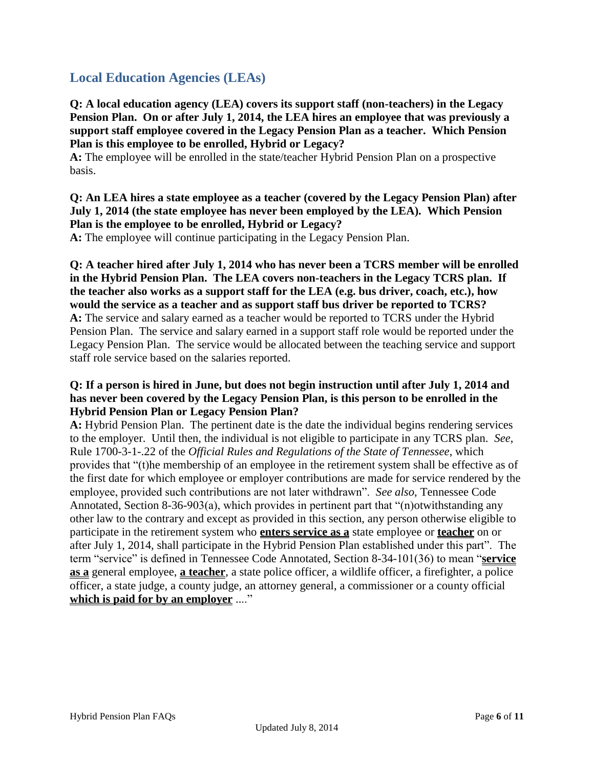### **Local Education Agencies (LEAs)**

**Q: A local education agency (LEA) covers its support staff (non-teachers) in the Legacy Pension Plan. On or after July 1, 2014, the LEA hires an employee that was previously a support staff employee covered in the Legacy Pension Plan as a teacher. Which Pension Plan is this employee to be enrolled, Hybrid or Legacy?**

**A:** The employee will be enrolled in the state/teacher Hybrid Pension Plan on a prospective basis.

**Q: An LEA hires a state employee as a teacher (covered by the Legacy Pension Plan) after July 1, 2014 (the state employee has never been employed by the LEA). Which Pension Plan is the employee to be enrolled, Hybrid or Legacy?**

**A:** The employee will continue participating in the Legacy Pension Plan.

**Q: A teacher hired after July 1, 2014 who has never been a TCRS member will be enrolled in the Hybrid Pension Plan. The LEA covers non-teachers in the Legacy TCRS plan. If the teacher also works as a support staff for the LEA (e.g. bus driver, coach, etc.), how would the service as a teacher and as support staff bus driver be reported to TCRS? A:** The service and salary earned as a teacher would be reported to TCRS under the Hybrid Pension Plan. The service and salary earned in a support staff role would be reported under the Legacy Pension Plan. The service would be allocated between the teaching service and support staff role service based on the salaries reported.

### **Q: If a person is hired in June, but does not begin instruction until after July 1, 2014 and has never been covered by the Legacy Pension Plan, is this person to be enrolled in the Hybrid Pension Plan or Legacy Pension Plan?**

**A:** Hybrid Pension Plan. The pertinent date is the date the individual begins rendering services to the employer. Until then, the individual is not eligible to participate in any TCRS plan. *See*, Rule 1700-3-1-.22 of the *Official Rules and Regulations of the State of Tennessee*, which provides that "(t)he membership of an employee in the retirement system shall be effective as of the first date for which employee or employer contributions are made for service rendered by the employee, provided such contributions are not later withdrawn". *See also*, Tennessee Code Annotated, Section 8-36-903(a), which provides in pertinent part that "(n)otwithstanding any other law to the contrary and except as provided in this section, any person otherwise eligible to participate in the retirement system who **enters service as a** state employee or **teacher** on or after July 1, 2014, shall participate in the Hybrid Pension Plan established under this part". The term "service" is defined in Tennessee Code Annotated, Section 8-34-101(36) to mean "**service as a** general employee, **a teacher**, a state police officer, a wildlife officer, a firefighter, a police officer, a state judge, a county judge, an attorney general, a commissioner or a county official **which is paid for by an employer** ...."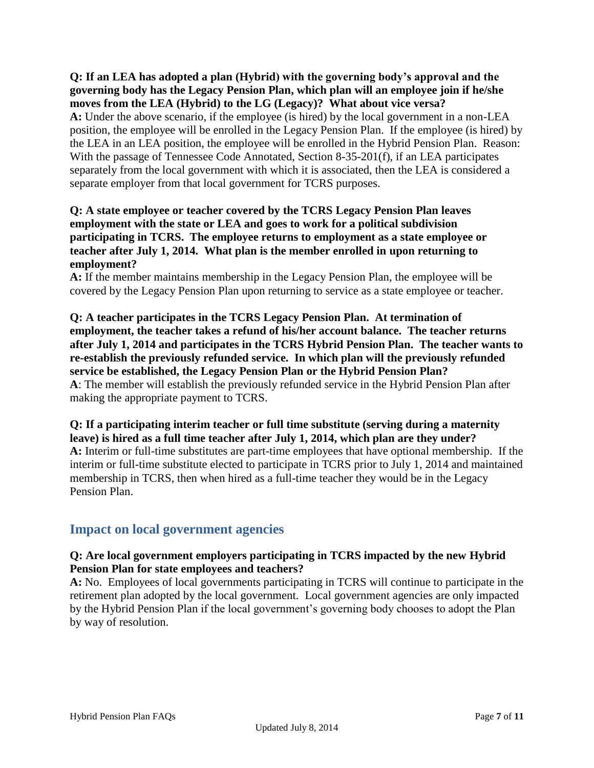**Q: If an LEA has adopted a plan (Hybrid) with the governing body's approval and the governing body has the Legacy Pension Plan, which plan will an employee join if he/she moves from the LEA (Hybrid) to the LG (Legacy)? What about vice versa? A:** Under the above scenario, if the employee (is hired) by the local government in a non-LEA

position, the employee will be enrolled in the Legacy Pension Plan. If the employee (is hired) by the LEA in an LEA position, the employee will be enrolled in the Hybrid Pension Plan. Reason: With the passage of Tennessee Code Annotated, Section 8-35-201(f), if an LEA participates separately from the local government with which it is associated, then the LEA is considered a separate employer from that local government for TCRS purposes.

### **Q: A state employee or teacher covered by the TCRS Legacy Pension Plan leaves employment with the state or LEA and goes to work for a political subdivision participating in TCRS. The employee returns to employment as a state employee or teacher after July 1, 2014. What plan is the member enrolled in upon returning to employment?**

**A:** If the member maintains membership in the Legacy Pension Plan, the employee will be covered by the Legacy Pension Plan upon returning to service as a state employee or teacher.

**Q: A teacher participates in the TCRS Legacy Pension Plan. At termination of employment, the teacher takes a refund of his/her account balance. The teacher returns after July 1, 2014 and participates in the TCRS Hybrid Pension Plan. The teacher wants to re-establish the previously refunded service. In which plan will the previously refunded service be established, the Legacy Pension Plan or the Hybrid Pension Plan? A**: The member will establish the previously refunded service in the Hybrid Pension Plan after making the appropriate payment to TCRS.

**Q: If a participating interim teacher or full time substitute (serving during a maternity leave) is hired as a full time teacher after July 1, 2014, which plan are they under? A:** Interim or full-time substitutes are part-time employees that have optional membership. If the interim or full-time substitute elected to participate in TCRS prior to July 1, 2014 and maintained membership in TCRS, then when hired as a full-time teacher they would be in the Legacy Pension Plan.

### <span id="page-6-0"></span>**Impact on local government agencies**

### **Q: Are local government employers participating in TCRS impacted by the new Hybrid Pension Plan for state employees and teachers?**

**A:** No. Employees of local governments participating in TCRS will continue to participate in the retirement plan adopted by the local government. Local government agencies are only impacted by the Hybrid Pension Plan if the local government's governing body chooses to adopt the Plan by way of resolution.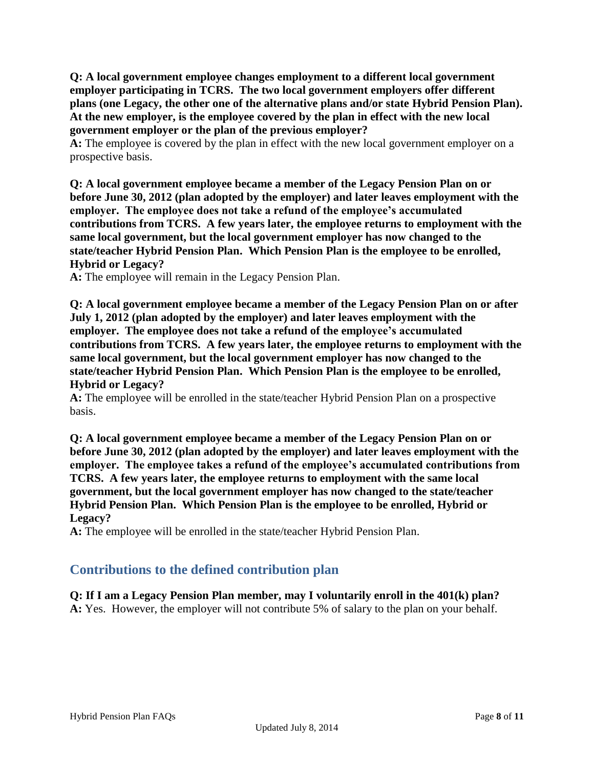**Q: A local government employee changes employment to a different local government employer participating in TCRS. The two local government employers offer different plans (one Legacy, the other one of the alternative plans and/or state Hybrid Pension Plan). At the new employer, is the employee covered by the plan in effect with the new local government employer or the plan of the previous employer?**

A: The employee is covered by the plan in effect with the new local government employer on a prospective basis.

**Q: A local government employee became a member of the Legacy Pension Plan on or before June 30, 2012 (plan adopted by the employer) and later leaves employment with the employer. The employee does not take a refund of the employee's accumulated contributions from TCRS. A few years later, the employee returns to employment with the same local government, but the local government employer has now changed to the state/teacher Hybrid Pension Plan. Which Pension Plan is the employee to be enrolled, Hybrid or Legacy?**

**A:** The employee will remain in the Legacy Pension Plan.

**Q: A local government employee became a member of the Legacy Pension Plan on or after July 1, 2012 (plan adopted by the employer) and later leaves employment with the employer. The employee does not take a refund of the employee's accumulated contributions from TCRS. A few years later, the employee returns to employment with the same local government, but the local government employer has now changed to the state/teacher Hybrid Pension Plan. Which Pension Plan is the employee to be enrolled, Hybrid or Legacy?**

**A:** The employee will be enrolled in the state/teacher Hybrid Pension Plan on a prospective basis.

**Q: A local government employee became a member of the Legacy Pension Plan on or before June 30, 2012 (plan adopted by the employer) and later leaves employment with the employer. The employee takes a refund of the employee's accumulated contributions from TCRS. A few years later, the employee returns to employment with the same local government, but the local government employer has now changed to the state/teacher Hybrid Pension Plan. Which Pension Plan is the employee to be enrolled, Hybrid or Legacy?**

<span id="page-7-0"></span>**A:** The employee will be enrolled in the state/teacher Hybrid Pension Plan.

### **Contributions to the defined contribution plan**

**Q: If I am a Legacy Pension Plan member, may I voluntarily enroll in the 401(k) plan? A:** Yes. However, the employer will not contribute 5% of salary to the plan on your behalf.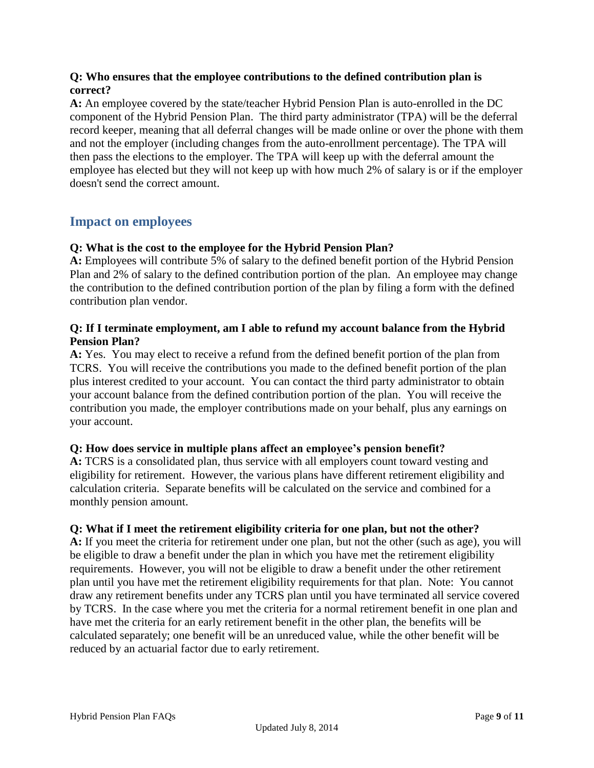### **Q: Who ensures that the employee contributions to the defined contribution plan is correct?**

**A:** An employee covered by the state/teacher Hybrid Pension Plan is auto-enrolled in the DC component of the Hybrid Pension Plan. The third party administrator (TPA) will be the deferral record keeper, meaning that all deferral changes will be made online or over the phone with them and not the employer (including changes from the auto-enrollment percentage). The TPA will then pass the elections to the employer. The TPA will keep up with the deferral amount the employee has elected but they will not keep up with how much 2% of salary is or if the employer doesn't send the correct amount.

### <span id="page-8-0"></span>**Impact on employees**

### **Q: What is the cost to the employee for the Hybrid Pension Plan?**

**A:** Employees will contribute 5% of salary to the defined benefit portion of the Hybrid Pension Plan and 2% of salary to the defined contribution portion of the plan. An employee may change the contribution to the defined contribution portion of the plan by filing a form with the defined contribution plan vendor.

### **Q: If I terminate employment, am I able to refund my account balance from the Hybrid Pension Plan?**

**A:** Yes. You may elect to receive a refund from the defined benefit portion of the plan from TCRS. You will receive the contributions you made to the defined benefit portion of the plan plus interest credited to your account. You can contact the third party administrator to obtain your account balance from the defined contribution portion of the plan. You will receive the contribution you made, the employer contributions made on your behalf, plus any earnings on your account.

#### **Q: How does service in multiple plans affect an employee's pension benefit?**

**A:** TCRS is a consolidated plan, thus service with all employers count toward vesting and eligibility for retirement. However, the various plans have different retirement eligibility and calculation criteria. Separate benefits will be calculated on the service and combined for a monthly pension amount.

#### **Q: What if I meet the retirement eligibility criteria for one plan, but not the other?**

**A:** If you meet the criteria for retirement under one plan, but not the other (such as age), you will be eligible to draw a benefit under the plan in which you have met the retirement eligibility requirements. However, you will not be eligible to draw a benefit under the other retirement plan until you have met the retirement eligibility requirements for that plan. Note: You cannot draw any retirement benefits under any TCRS plan until you have terminated all service covered by TCRS. In the case where you met the criteria for a normal retirement benefit in one plan and have met the criteria for an early retirement benefit in the other plan, the benefits will be calculated separately; one benefit will be an unreduced value, while the other benefit will be reduced by an actuarial factor due to early retirement.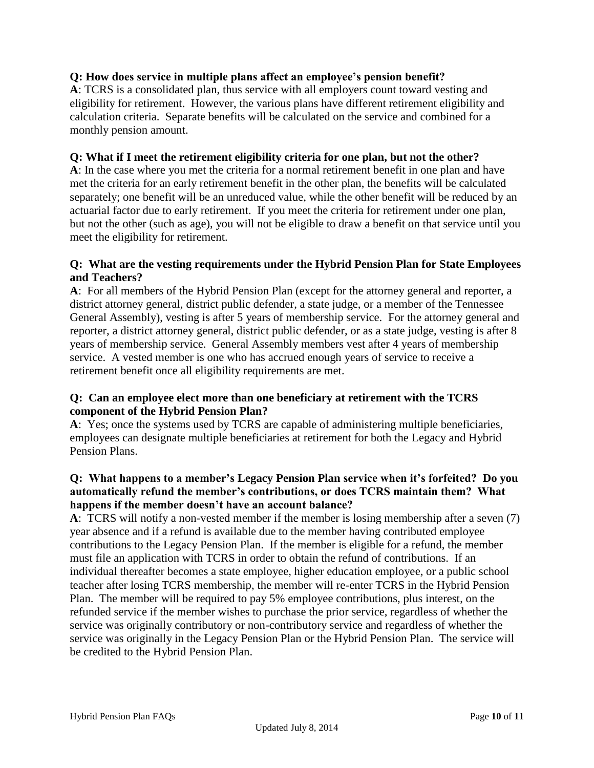### **Q: How does service in multiple plans affect an employee's pension benefit?**

**A**: TCRS is a consolidated plan, thus service with all employers count toward vesting and eligibility for retirement. However, the various plans have different retirement eligibility and calculation criteria. Separate benefits will be calculated on the service and combined for a monthly pension amount.

#### **Q: What if I meet the retirement eligibility criteria for one plan, but not the other?**

**A**: In the case where you met the criteria for a normal retirement benefit in one plan and have met the criteria for an early retirement benefit in the other plan, the benefits will be calculated separately; one benefit will be an unreduced value, while the other benefit will be reduced by an actuarial factor due to early retirement. If you meet the criteria for retirement under one plan, but not the other (such as age), you will not be eligible to draw a benefit on that service until you meet the eligibility for retirement.

### **Q: What are the vesting requirements under the Hybrid Pension Plan for State Employees and Teachers?**

**A**: For all members of the Hybrid Pension Plan (except for the attorney general and reporter, a district attorney general, district public defender, a state judge, or a member of the Tennessee General Assembly), vesting is after 5 years of membership service. For the attorney general and reporter, a district attorney general, district public defender, or as a state judge, vesting is after 8 years of membership service. General Assembly members vest after 4 years of membership service. A vested member is one who has accrued enough years of service to receive a retirement benefit once all eligibility requirements are met.

### **Q: Can an employee elect more than one beneficiary at retirement with the TCRS component of the Hybrid Pension Plan?**

**A**: Yes; once the systems used by TCRS are capable of administering multiple beneficiaries, employees can designate multiple beneficiaries at retirement for both the Legacy and Hybrid Pension Plans.

### **Q: What happens to a member's Legacy Pension Plan service when it's forfeited? Do you automatically refund the member's contributions, or does TCRS maintain them? What happens if the member doesn't have an account balance?**

**A**: TCRS will notify a non-vested member if the member is losing membership after a seven (7) year absence and if a refund is available due to the member having contributed employee contributions to the Legacy Pension Plan. If the member is eligible for a refund, the member must file an application with TCRS in order to obtain the refund of contributions. If an individual thereafter becomes a state employee, higher education employee, or a public school teacher after losing TCRS membership, the member will re-enter TCRS in the Hybrid Pension Plan. The member will be required to pay 5% employee contributions, plus interest, on the refunded service if the member wishes to purchase the prior service, regardless of whether the service was originally contributory or non-contributory service and regardless of whether the service was originally in the Legacy Pension Plan or the Hybrid Pension Plan. The service will be credited to the Hybrid Pension Plan.